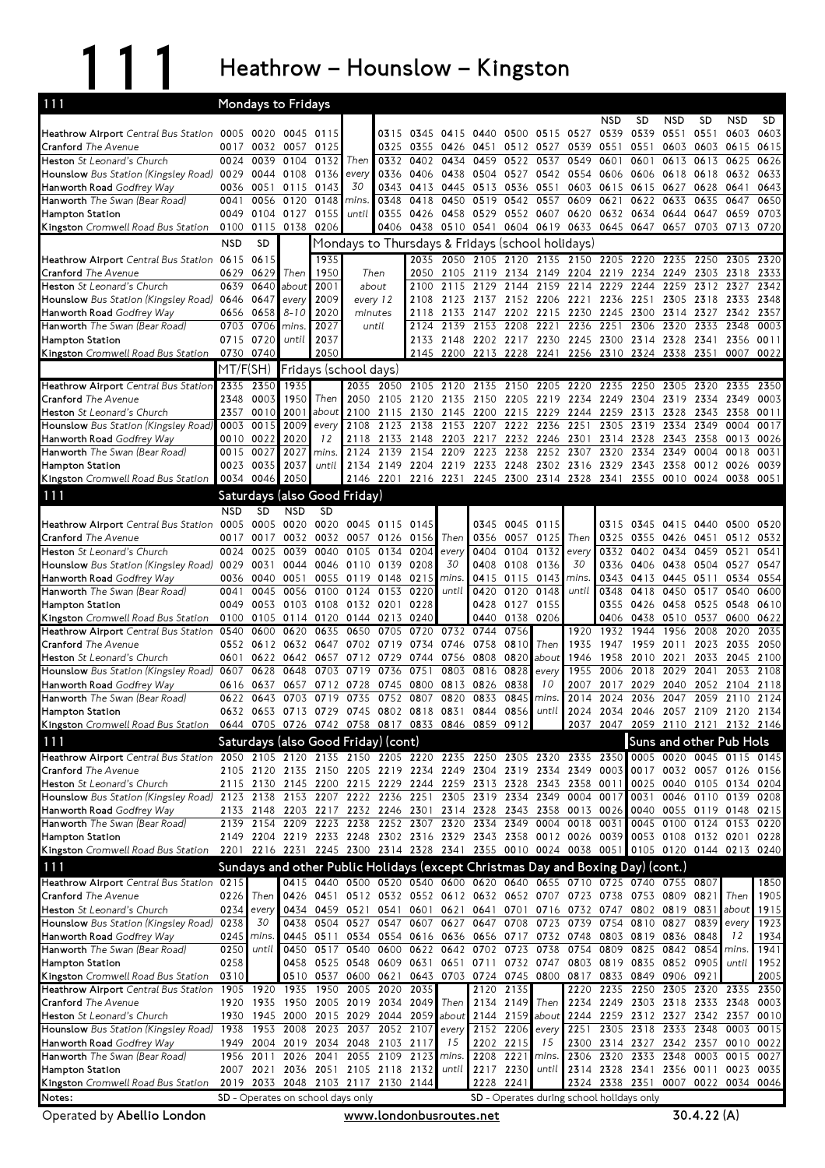111 Heathrow – Hounslow – Kingston

| 111<br><b>Mondays to Fridays</b>                                                                      |              |                        |                                                                                 |              |                          |                        |              |                          |                                                                                              |                        |                        |                                                                                                                            |                             |                   |                               |                   |                                                                                           |              |
|-------------------------------------------------------------------------------------------------------|--------------|------------------------|---------------------------------------------------------------------------------|--------------|--------------------------|------------------------|--------------|--------------------------|----------------------------------------------------------------------------------------------|------------------------|------------------------|----------------------------------------------------------------------------------------------------------------------------|-----------------------------|-------------------|-------------------------------|-------------------|-------------------------------------------------------------------------------------------|--------------|
|                                                                                                       |              |                        |                                                                                 |              |                          |                        |              |                          |                                                                                              |                        |                        |                                                                                                                            | <b>NSD</b>                  | <b>SD</b>         | <b>NSD</b>                    | <b>SD</b>         | <b>NSD</b>                                                                                | <b>SD</b>    |
| Heathrow Airport Central Bus Station 0005 0020 0045 0115                                              |              |                        |                                                                                 |              |                          | 0315                   | 0345         | 0415 0440                |                                                                                              |                        | 0500 0515 0527         |                                                                                                                            | 0539                        | 0539              | 0551                          | 0551              | 0603                                                                                      | 0603         |
| <b>Cranford</b> The Avenue                                                                            | 0017         | 0032                   | 0057                                                                            | 0125         |                          | 0325                   | 0355         | 0426                     | 0451                                                                                         |                        | 0512 0527              | 0539                                                                                                                       | 0551                        | 0551              | 0603                          | 0603              | 0615                                                                                      | 0615         |
| Heston St Leonard's Church                                                                            | 0024         | 0039                   | 0104                                                                            | 0132         | Then                     | 0332                   | 0402         | 0434                     | 0459                                                                                         | 0522                   | 0537                   | 0549                                                                                                                       | 0601                        | 0601              | 0613                          | 0613              | 0625                                                                                      | 0626         |
| Hounslow Bus Station (Kingsley Road) 0029<br>Hanworth Road Godfrey Way                                | 0036         | 0051                   | 0044 0108<br>0115                                                               | 0136<br>0143 | every<br>30              | 0336<br>0343           | 0406<br>0413 | 0445                     | 0438 0504<br>0513                                                                            | 0536                   | 0551                   | 0527 0542 0554<br>0603                                                                                                     | 0606 0606<br>0615           | 0615              | 0618<br>0627                  | 0618 0632<br>0628 | 0641                                                                                      | 0633<br>0643 |
| Hanworth The Swan (Bear Road)                                                                         | 0041         |                        | 0056 0120                                                                       | 0148         | mins                     | 0348                   | 0418         |                          | 0450 0519                                                                                    |                        | 0542 0557              | 0609                                                                                                                       | 0621                        | 0622 0633         |                               | 0635              | 0647                                                                                      | 0650         |
| <b>Hampton Station</b>                                                                                |              | 0049 0104 0127         |                                                                                 | 0155         | until                    | 0355                   | 0426         | 0458 0529                |                                                                                              |                        | 0552 0607 0620         |                                                                                                                            |                             | 0632 0634 0644    |                               | 0647              | 0659                                                                                      | 0703         |
| Kingston Cromwell Road Bus Station                                                                    | 0100         |                        | 0115 0138                                                                       | 0206         |                          | 0406                   |              | 0438 0510 0541           |                                                                                              |                        |                        | 0604 0619 0633 0645 0647 0657                                                                                              |                             |                   |                               |                   | 0703 0713                                                                                 | 0720         |
|                                                                                                       | <b>NSD</b>   | <b>SD</b>              |                                                                                 |              |                          |                        |              |                          | Mondays to Thursdays & Fridays (school holidays)                                             |                        |                        |                                                                                                                            |                             |                   |                               |                   |                                                                                           |              |
| Heathrow Airport Central Bus Station 0615 0615                                                        |              |                        |                                                                                 | 1935         |                          |                        | 2035         |                          |                                                                                              |                        |                        | 2050 2105 2120 2135 2150 2205 2220                                                                                         |                             |                   | 2235                          | 2250              | 2305                                                                                      | 2320         |
| Cranford The Avenue                                                                                   |              | 0629 0629              | Then                                                                            | 1950         |                          | Then                   | 2050         |                          | 2105 2119 2134 2149 2204                                                                     |                        |                        |                                                                                                                            | 2219 2234                   |                   | 2249                          | 2303              | 2318                                                                                      | 2333         |
| Heston St Leonard's Church                                                                            | 0639         | 0640                   | about                                                                           | 2001         |                          | about                  | 2100         | 2115                     | 2129                                                                                         | 2144                   | 2159                   | 2214                                                                                                                       | 2229                        | 2244              | 2259                          | 2312              | 2327                                                                                      | 2342         |
| Hounslow Bus Station (Kingsley Road) 0646 0647                                                        |              |                        | every                                                                           | 2009         | every 12                 |                        | 2108         |                          |                                                                                              |                        |                        | 2123 2137 2152 2206 2221 2236 2251                                                                                         |                             |                   |                               |                   | 2305 2318 2333                                                                            | 2348         |
| Hanworth Road Godfrey Way                                                                             |              | 0656 0658              | $8 - 10$                                                                        | 2020         | minutes                  |                        | 2118         | 2133 2147                |                                                                                              |                        | 2202 2215              | 2230                                                                                                                       | 2245                        | 2300              | 2314 2327                     |                   | 2342                                                                                      | 2357         |
| Hanworth The Swan (Bear Road)                                                                         | 0703         | 0706                   | mins                                                                            | 2027         |                          | until                  | 2124         | 2139                     | 2153                                                                                         | 2208                   | 2221                   | 2236                                                                                                                       | 2251                        | 2306              | 2320                          | 2333              | 2348                                                                                      | 0003         |
| <b>Hampton Station</b><br>Kingston Cromwell Road Bus Station                                          |              | 0715 0720<br>0730 0740 | until                                                                           | 2037<br>2050 |                          |                        | 2133<br>2145 |                          |                                                                                              |                        |                        | 2148 2202 2217 2230 2245 2300<br>2200 2213 2228 2241 2256 2310 2324 2338                                                   |                             | 2314 2328         |                               | 2341<br>2351      | 2356<br>0007                                                                              | 0011<br>0022 |
|                                                                                                       |              |                        |                                                                                 |              |                          |                        |              |                          |                                                                                              |                        |                        |                                                                                                                            |                             |                   |                               |                   |                                                                                           |              |
|                                                                                                       | MT/F(SH)     |                        | Fridays (school days)                                                           |              |                          |                        |              |                          |                                                                                              |                        |                        |                                                                                                                            |                             |                   |                               |                   |                                                                                           |              |
| Heathrow Airport Central Bus Station<br>Cranford The Avenue                                           | 2335         | 2350<br>2348 0003      | 1935<br>1950                                                                    | Then         | 2050                     | 2035 2050<br>2105      | 2105<br>2120 | 2120<br>2135             | 2135<br>2150                                                                                 | 2150                   | 2205<br>2205 2219 2234 | 2220                                                                                                                       | 2235<br>2249                | 2250<br>2304      | 2305<br>2319                  | 2320<br>2334      | 2335<br>2349                                                                              | 2350<br>0003 |
| Heston St Leonard's Church                                                                            | 2357         | 0010                   | 2001                                                                            | about        | 2100                     | 2115                   | 2130         | 2145                     | 2200                                                                                         | 2215                   | 2229                   | 2244                                                                                                                       | 2259                        | 2313              | 2328                          | 2343              | 2358                                                                                      | 0011         |
| Hounslow Bus Station (Kingsley Road)                                                                  | 0003         | 0015                   | 2009                                                                            | every        | 2108                     | 2123                   | 2138         | 2153 2207                |                                                                                              | 2222                   | 2236                   | 2251                                                                                                                       | 2305                        | 2319              | 2334                          | 2349              | 0004                                                                                      | 0017         |
| Hanworth Road Godfrey Way                                                                             |              | 0010 0022              | 2020                                                                            | 12           | 2118                     | 2133                   | 2148         | 2203 2217                |                                                                                              |                        | 2232 2246 2301         |                                                                                                                            |                             | 2314 2328         | 2343                          | 2358              | 0013                                                                                      | 0026         |
| Hanworth The Swan (Bear Road)                                                                         | 0015         | 0027                   | 2027                                                                            | mins.        | 2124                     | 2139                   | 2154         | 2209                     | 2223                                                                                         | 2238                   | 2252                   | 2307                                                                                                                       | 2320                        | 2334              | 2349                          | 0004              | 0018                                                                                      | 0031         |
| <b>Hampton Station</b>                                                                                |              | 0023 0035              | 2037                                                                            | until        |                          |                        |              |                          |                                                                                              |                        |                        | 2134 2149 2204 2219 2233 2248 2302 2316 2329 2343 2358                                                                     |                             |                   |                               | 0012 0026         |                                                                                           | 0039         |
| Kingston Cromwell Road Bus Station                                                                    | 0034         | 0046                   | 2050                                                                            |              |                          |                        |              | 2146 2201 2216 2231 2245 |                                                                                              |                        |                        | 2300 2314 2328 2341 2355                                                                                                   |                             |                   | 0010 0024 0038                |                   |                                                                                           | 0051         |
| 111                                                                                                   |              |                        | Saturdays (also Good Friday)                                                    |              |                          |                        |              |                          |                                                                                              |                        |                        |                                                                                                                            |                             |                   |                               |                   |                                                                                           |              |
|                                                                                                       | <b>NSD</b>   | <b>SD</b>              | <b>NSD</b>                                                                      | <b>SD</b>    |                          |                        |              |                          |                                                                                              |                        |                        |                                                                                                                            |                             |                   |                               |                   |                                                                                           |              |
| Heathrow Airport Central Bus Station 0005                                                             |              |                        | 0005 0020                                                                       |              | 0020 0045 0115 0145      |                        |              |                          | 0345                                                                                         | 0045 0115              |                        |                                                                                                                            |                             |                   |                               |                   | 0315 0345 0415 0440 0500 0520                                                             |              |
| <b>Cranford</b> The Avenue                                                                            | 0017         | 0017                   | 0032                                                                            | 0032         |                          | 0057 0126              | 0156         | Then                     | 0356                                                                                         | 0057                   | 0125                   | Then                                                                                                                       | 0325                        | 0355              | 0426 0451                     |                   | 0512                                                                                      | 0532         |
| Heston St Leonard's Church                                                                            | 0024         | 0025                   | 0039                                                                            | 0040         | 0105                     | 0134                   | 0204         | every                    | 0404                                                                                         | 0104                   | 0132                   | every                                                                                                                      | 0332                        | 0402              | 0434                          | 0459              | 0521                                                                                      | 0541         |
| Hounslow Bus Station (Kingsley Road) 0029                                                             |              | 0031                   | 0044                                                                            |              | 0046 0110 0139           |                        | 0208         | 30                       | 0408                                                                                         | 0108 0136              |                        | 30                                                                                                                         | 0336                        | 0406              | 0438 0504 0527                |                   |                                                                                           | 0547         |
| Hanworth Road Godfrey Way<br>Hanworth The Swan (Bear Road)                                            | 0036<br>0041 | 0040<br>0045           | 0051<br>0056                                                                    | 0055<br>0100 |                          | 0119 0148<br>0124 0153 | 0215<br>0220 | mins.<br>until           | 0415<br>0420                                                                                 | 0115<br>0120           | 0143<br>0148           | mins<br>until                                                                                                              | 0343<br>0348                | 0413<br>0418      | 0445 0511<br>0450             | 0517              | 0534<br>0540                                                                              | 0554<br>0600 |
| <b>Hampton Station</b>                                                                                |              | 0049 0053              | 0103 0108                                                                       |              | 0132 0201                |                        | 0228         |                          | 0428                                                                                         | 0127 0155              |                        |                                                                                                                            | 0355                        | 0426              | 0458                          | 0525              | 0548                                                                                      | 0610         |
| Kingston Cromwell Road Bus Station                                                                    | 0100         | 0105                   | 0114 0120                                                                       |              | 0144                     | 0213                   | 0240         |                          | 0440                                                                                         | 0138                   | 0206                   |                                                                                                                            | 0406                        | 0438              | 0510                          | 0537              | 0600                                                                                      | 0622         |
| <b>Heathrow Airport</b> Central Bus Station                                                           | 0540         | 0600                   | 0620                                                                            | 0635         | 0650                     | 0705                   | 0720         | 0732                     | 0744                                                                                         | 0756                   |                        | 1920                                                                                                                       | 1932                        | 1944              | 1956                          | 2008              | 2020                                                                                      | 2035         |
| <b>Cranford</b> The Avenue                                                                            |              |                        | 0552 0612 0632 0647                                                             |              |                          | 0702 0719              | 0734         | 0746                     | 0758                                                                                         | 0810                   | Then                   | 1935                                                                                                                       | 1947                        | 1959              | 2011                          | 2023              | 2035                                                                                      | 2050         |
| Heston St Leonard's Church                                                                            | 0601         |                        | 0622 0642                                                                       | 0657         |                          | 0712 0729              | 0744         |                          | 0756 0808                                                                                    | 0820                   | about                  | 1946                                                                                                                       | 1958                        | 2010 2021         |                               | 2033              | 2045                                                                                      | 2100         |
| Hounslow Bus Station (Kingsley Road)                                                                  | 0607         | 0628                   | 0648                                                                            | 0703         | 0719                     | 0736                   | 0751         |                          | 0803 0816                                                                                    | 0828                   | every                  | 1955                                                                                                                       | 2006                        | 2018              | 2029                          | 2041              | 2053                                                                                      | 2108         |
| Hanworth Road Godfrey Way                                                                             | 0616         | 0637                   | 0657                                                                            | 0712<br>0719 | 0728                     | 0745                   | 0800         | 0813                     | 0826<br>0833                                                                                 | 0838                   | 10                     | 2007                                                                                                                       | 2017<br>2024                | 2029              | 2040                          | 2052<br>2059      | 2104                                                                                      | 2118         |
| Hanworth The Swan (Bear Road)<br><b>Hampton Station</b>                                               | 0622         | 0643                   | 0703<br>0632 0653 0713 0729 0745 0802 0818 0831 0844                            |              | 0735                     | 0752                   | 0807         | 0820                     |                                                                                              | 0845<br>0856           | mins.<br>until         | 2014<br>2024                                                                                                               |                             | 2036<br>2034 2046 | 2047<br>2057 2109 2120        |                   | 2110                                                                                      | 2124<br>2134 |
| Kingston Cromwell Road Bus Station                                                                    |              |                        | 0644 0705 0726 0742 0758 0817 0833 0846 0859 0912                               |              |                          |                        |              |                          |                                                                                              |                        |                        |                                                                                                                            |                             |                   |                               |                   | 2037 2047 2059 2110 2121 2132 2146                                                        |              |
| 111                                                                                                   |              |                        | Saturdays (also Good Friday) (cont)                                             |              |                          |                        |              |                          |                                                                                              |                        |                        |                                                                                                                            |                             |                   |                               |                   | Suns and other Pub Hols                                                                   |              |
| Heathrow Airport Central Bus Station 2050 2105 2120 2135 2150 2205 2220 2235 2250 2305 2320 2335 2350 |              |                        |                                                                                 |              |                          |                        |              |                          |                                                                                              |                        |                        |                                                                                                                            |                             |                   |                               |                   | 0005 0020 0045 0115 0145                                                                  |              |
| <b>Cranford</b> The Avenue                                                                            |              |                        | 2105 2120 2135 2150 2205 2219 2234 2249 2304 2319 2334 2349 0003                |              |                          |                        |              |                          |                                                                                              |                        |                        |                                                                                                                            |                             |                   |                               |                   | 0017 0032 0057 0126 0156                                                                  |              |
| Heston St Leonard's Church                                                                            |              |                        | 2115 2130 2145 2200 2215 2229 2244 2259 2313 2328 2343 2358 0011                |              |                          |                        |              |                          |                                                                                              |                        |                        |                                                                                                                            |                             |                   |                               |                   | 0025 0040 0105 0134 0204                                                                  |              |
| Hounslow Bus Station (Kingsley Road) 2123 2138 2153 2207 2222 2236 2251                               |              |                        |                                                                                 |              |                          |                        |              |                          | 2305 2319 2334 2349 0004                                                                     |                        |                        |                                                                                                                            | 0017                        | 0031              |                               |                   | 0046 0110 0139 0208                                                                       |              |
| Hanworth Road Godfrey Way                                                                             |              | 2133 2148              | 2203 2217 2232 2246 2301                                                        |              |                          |                        |              |                          |                                                                                              |                        |                        | 2314 2328 2343 2358 0013 0026                                                                                              |                             |                   | 0040 0055 0119 0148           |                   |                                                                                           | 0215         |
| Hanworth The Swan (Bear Road)                                                                         |              |                        | 2139 2154 2209 2223 2238 2252 2307 2320 2334 2349 0004 0018 0031                |              |                          |                        |              |                          |                                                                                              |                        |                        |                                                                                                                            |                             |                   |                               |                   | 0045 0100 0124 0153 0220                                                                  |              |
| <b>Hampton Station</b>                                                                                |              |                        |                                                                                 |              |                          |                        |              |                          |                                                                                              |                        |                        |                                                                                                                            |                             |                   |                               |                   | 2149 2204 2219 2233 2248 2302 2316 2329 2343 2358 0012 0026 0039 0053 0108 0132 0201 0228 |              |
| Kingston Cromwell Road Bus Station                                                                    |              |                        |                                                                                 |              |                          |                        |              |                          |                                                                                              |                        |                        |                                                                                                                            |                             |                   |                               |                   | 2201 2216 2231 2245 2300 2314 2328 2341 2355 0010 0024 0038 0051 0105 0120 0144 0213 0240 |              |
| <u>111</u>                                                                                            |              |                        | Sundays and other Public Holidays (except Christmas Day and Boxing Day) (cont.) |              |                          |                        |              |                          |                                                                                              |                        |                        |                                                                                                                            |                             |                   |                               |                   |                                                                                           |              |
| Heathrow Airport Central Bus Station 0215                                                             |              |                        |                                                                                 |              |                          |                        |              |                          |                                                                                              |                        |                        | 0415 0440 0500 0520 0540 0600 0620 0640 0655 0710 0725 0740 0755 0807                                                      |                             |                   |                               |                   |                                                                                           | 1850         |
| Cranford The Avenue                                                                                   | 0226         | Then <b>I</b>          |                                                                                 |              |                          |                        |              |                          |                                                                                              |                        |                        | 0426 0451 0512 0532 0552 0612 0632 0652 0707 0723 0738 0753 0809 0821                                                      |                             |                   |                               |                   | Then                                                                                      | 1905         |
| Heston St Leonard's Church                                                                            | 0234         | every<br>30            | 0438                                                                            |              |                          |                        |              |                          |                                                                                              |                        |                        | 0434 0459 0521 0541 0601 0621 0641 0701 0716 0732 0747 0802 0819 0831 about                                                |                             |                   |                               | 0839              |                                                                                           | 1915         |
| Hounslow Bus Station (Kingsley Road) 0238<br>Hanworth Road Godfrey Way                                | 0245         | mins.                  |                                                                                 | 0445 0511    |                          |                        |              |                          |                                                                                              |                        |                        | 0504 0527 0547 0607 0627 0647 0708 0723 0739 0754 0810 0827<br>0534 0554 0616 0636 0656 0717 0732 0748 0803 0819 0836 0848 |                             |                   |                               |                   | every<br>12                                                                               | 1923<br>1934 |
| Hanworth The Swan (Bear Road)                                                                         | 0250         | until                  | 0450                                                                            |              |                          |                        |              |                          |                                                                                              |                        |                        | 0517 0540 0600 0622 0642 0702 0723 0738 0754 0809 0825 0842 0854                                                           |                             |                   |                               |                   | mins                                                                                      | 1941         |
| <b>Hampton Station</b>                                                                                | 0258         |                        |                                                                                 |              |                          |                        |              |                          |                                                                                              |                        |                        | 0458 0525 0548 0609 0631 0651 0711 0732 0747 0803 0819 0835 0852 0905                                                      |                             |                   |                               |                   | until                                                                                     | 1952         |
| Kingston Cromwell Road Bus Station                                                                    | 0310         |                        | 0510                                                                            | 0537         |                          | 0600 0621              |              |                          | 0643 0703 0724 0745 0800                                                                     |                        |                        | 0817 0833 0849 0906 0921                                                                                                   |                             |                   |                               |                   |                                                                                           | 2005         |
| <b>Heathrow Airport</b> Central Bus Station                                                           |              | 1905 1920              | 1935                                                                            | 1950         |                          | 2005 2020              | 2035         |                          |                                                                                              | 2120 2135              |                        |                                                                                                                            | 2220 2235                   | 2250              | 2305 2320                     |                   | 2335                                                                                      | 2350         |
| Cranford The Avenue                                                                                   |              | 1920 1935              | 1950                                                                            |              | 2005 2019 2034           |                        | 2049         |                          | Then 2134 2149 Then                                                                          |                        |                        | 2234                                                                                                                       |                             |                   | 2249 2303 2318 2333           |                   | 2348                                                                                      | 0003         |
| Heston St Leonard's Church                                                                            |              |                        | 1930 1945 2000 2015 2029 2044 2059 about 2144 2159 about                        |              |                          |                        |              |                          |                                                                                              |                        |                        |                                                                                                                            |                             |                   | 2244 2259 2312 2327 2342 2357 |                   |                                                                                           | 0010         |
| Hounslow Bus Station (Kingsley Road) 1938                                                             |              |                        | 1953 2008 2023 2037 2052 2107                                                   |              |                          |                        |              |                          | every 2152 2206                                                                              |                        | every                  | 2251                                                                                                                       |                             |                   | 2305 2318 2333 2348           |                   | 0003 0015                                                                                 |              |
| Hanworth Road Godfrey Way                                                                             |              | 1949 2004              |                                                                                 |              | 2019 2034 2048 2103 2117 |                        |              | 15                       |                                                                                              | 2202 2215              | 15                     | 2300                                                                                                                       |                             | 2333 2348         |                               |                   | 2314 2327 2342 2357 0010 0022                                                             |              |
| Hanworth The Swan (Bear Road)<br>Hampton Station                                                      |              | 1956 2011<br>2007 2021 | 2026                                                                            | 2041         | 2036 2051 2105 2118 2132 | 2055 2109 2123         |              | mins.<br>until           |                                                                                              | 2208 2221<br>2217 2230 | mins.<br>until         |                                                                                                                            | 2306 2320<br>2314 2328 2341 |                   | 2356 0011                     | 0003              | 0015 0027                                                                                 | 0023 0035    |
| Kingston Cromwell Road Bus Station                                                                    |              |                        | 2019 2033 2048 2103 2117 2130 2144                                              |              |                          |                        |              |                          |                                                                                              |                        |                        |                                                                                                                            |                             |                   |                               |                   |                                                                                           |              |
| Notes:                                                                                                |              |                        | SD - Operates on school days only                                               |              |                          |                        |              |                          | 2228 2241<br>2324 2338 2351 0007 0022 0034 0046<br>SD - Operates during school holidays only |                        |                        |                                                                                                                            |                             |                   |                               |                   |                                                                                           |              |

Operated by Abellio London **WWW.londonbusroutes.net** 30.4.22 (A)